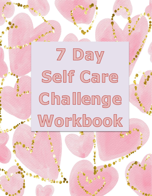7 Day Self Care Challenge Workbook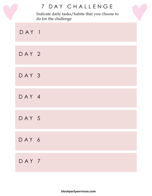|       | 7 DAY CHALLENGE<br>Indicate daily tasks/habits that you choose to<br>do for the challenge |  |
|-------|-------------------------------------------------------------------------------------------|--|
| DAY 1 |                                                                                           |  |
| DAY 2 |                                                                                           |  |
| DAY 3 |                                                                                           |  |
| DAY 4 |                                                                                           |  |
| DAY 5 |                                                                                           |  |
| DAY 6 |                                                                                           |  |
| DAY 7 |                                                                                           |  |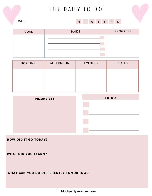# THE DAILY TO DO



DATE:

### M T W T F S S

| GOAL | <b>HABIT</b> | <b>PROGRESS</b> |
|------|--------------|-----------------|
|      |              |                 |
|      |              |                 |
|      |              |                 |
|      |              |                 |

| MORNING | AFTERNOON | <b>EVENING</b> | <b>NOTES</b> |
|---------|-----------|----------------|--------------|
|         |           |                |              |
|         |           |                |              |
|         |           |                |              |

| <b>PRIORITIES</b> | TO-DO |
|-------------------|-------|
|                   |       |
|                   |       |
|                   |       |
|                   |       |
|                   |       |

#### **HOW DID IT GO TODAY?**

**WHAT DID YOU LEARN?**

**WHAT CAN YOU DO DIFFERENTLY TOMORROW?**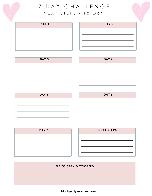

## 7 D A Y C H A L L E N G E N E X T S T E P S - T O D o :





| DAY <sub>3</sub> |
|------------------|
|                  |
|                  |
|                  |
|                  |











### **T IP TO STAY MOTIVATED**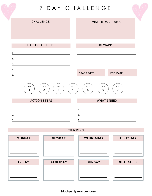7 D A Y C H A L L E N G E



#### TRACKING

| <b>MONDAY</b> | <b>TUESDAY</b> | WEDNESDAY     | <b>THURSDAY</b>   |
|---------------|----------------|---------------|-------------------|
|               |                |               |                   |
|               |                |               |                   |
|               |                |               |                   |
| <b>FRIDAY</b> | SATURDAY       | <b>SUNDAY</b> | <b>NEXT STEPS</b> |
|               |                |               |                   |
|               |                |               |                   |
|               |                |               |                   |